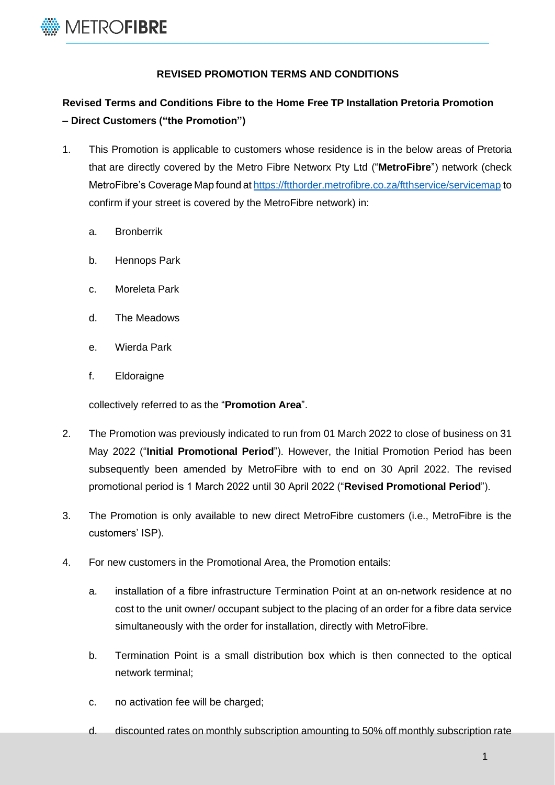

## **REVISED PROMOTION TERMS AND CONDITIONS**

## **Revised Terms and Conditions Fibre to the Home Free TP Installation Pretoria Promotion – Direct Customers ("the Promotion")**

- 1. This Promotion is applicable to customers whose residence is in the below areas of Pretoria that are directly covered by the Metro Fibre Networx Pty Ltd ("**MetroFibre**") network (check MetroFibre's Coverage Map found at <https://ftthorder.metrofibre.co.za/ftthservice/servicemap> to confirm if your street is covered by the MetroFibre network) in:
	- a. Bronberrik
	- b. Hennops Park
	- c. Moreleta Park
	- d. The Meadows
	- e. Wierda Park
	- f. Eldoraigne

collectively referred to as the "**Promotion Area**".

- 2. The Promotion was previously indicated to run from 01 March 2022 to close of business on 31 May 2022 ("**Initial Promotional Period**"). However, the Initial Promotion Period has been subsequently been amended by MetroFibre with to end on 30 April 2022. The revised promotional period is 1 March 2022 until 30 April 2022 ("**Revised Promotional Period**").
- 3. The Promotion is only available to new direct MetroFibre customers (i.e., MetroFibre is the customers' ISP).
- 4. For new customers in the Promotional Area, the Promotion entails:
	- a. installation of a fibre infrastructure Termination Point at an on-network residence at no cost to the unit owner/ occupant subject to the placing of an order for a fibre data service simultaneously with the order for installation, directly with MetroFibre.
	- b. Termination Point is a small distribution box which is then connected to the optical network terminal;
	- c. no activation fee will be charged;
	- d. discounted rates on monthly subscription amounting to 50% off monthly subscription rate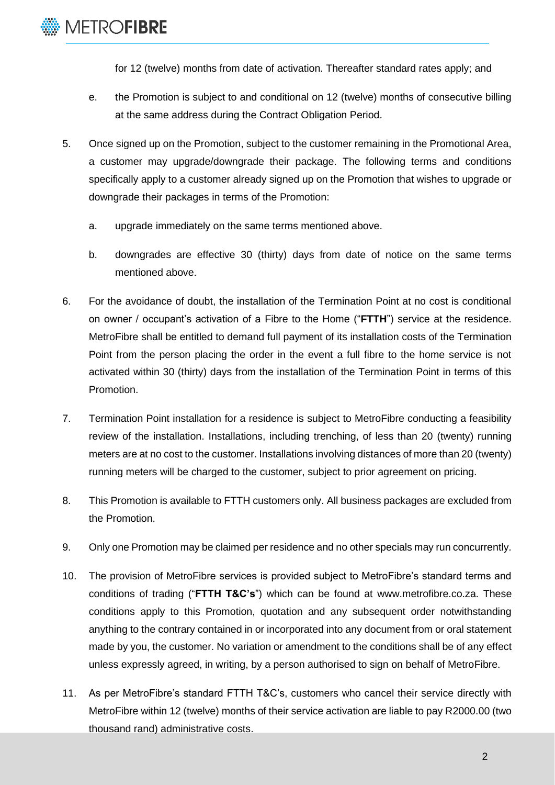

for 12 (twelve) months from date of activation. Thereafter standard rates apply; and

- e. the Promotion is subject to and conditional on 12 (twelve) months of consecutive billing at the same address during the Contract Obligation Period.
- 5. Once signed up on the Promotion, subject to the customer remaining in the Promotional Area, a customer may upgrade/downgrade their package. The following terms and conditions specifically apply to a customer already signed up on the Promotion that wishes to upgrade or downgrade their packages in terms of the Promotion:
	- a. upgrade immediately on the same terms mentioned above.
	- b. downgrades are effective 30 (thirty) days from date of notice on the same terms mentioned above.
- 6. For the avoidance of doubt, the installation of the Termination Point at no cost is conditional on owner / occupant's activation of a Fibre to the Home ("**FTTH**") service at the residence. MetroFibre shall be entitled to demand full payment of its installation costs of the Termination Point from the person placing the order in the event a full fibre to the home service is not activated within 30 (thirty) days from the installation of the Termination Point in terms of this Promotion.
- 7. Termination Point installation for a residence is subject to MetroFibre conducting a feasibility review of the installation. Installations, including trenching, of less than 20 (twenty) running meters are at no cost to the customer. Installations involving distances of more than 20 (twenty) running meters will be charged to the customer, subject to prior agreement on pricing.
- 8. This Promotion is available to FTTH customers only. All business packages are excluded from the Promotion.
- 9. Only one Promotion may be claimed per residence and no other specials may run concurrently.
- 10. The provision of MetroFibre services is provided subject to MetroFibre's standard terms and conditions of trading ("**FTTH T&C's**") which can be found at [www.metrofibre.co.za. T](http://www.metrofibre.co.za/)hese conditions apply to this Promotion, quotation and any subsequent order notwithstanding anything to the contrary contained in or incorporated into any document from or oral statement made by you, the customer. No variation or amendment to the conditions shall be of any effect unless expressly agreed, in writing, by a person authorised to sign on behalf of MetroFibre.
- 11. As per MetroFibre's standard FTTH T&C's, customers who cancel their service directly with MetroFibre within 12 (twelve) months of their service activation are liable to pay R2000.00 (two thousand rand) administrative costs.